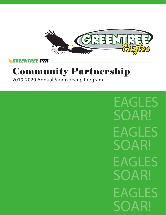

**GREENTREE PTA** 

# Community Partnership

2019-2020 Annual Sponsorship Program

EAGLES SOAR! EAGLES SOAR! EAGLES SOAR! EAGLES SOAR!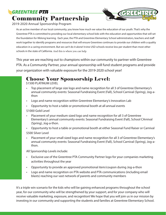## **GREENTREE PTA** Community Partnership



#### 2019-2020 Annual Sponsorship Program

As an active member of our local community, you know how much we value the education of our youth. That's why the Greentree PTA is committed to providing our local elementary school kids with the education and opportunities that will set the foundation for lifelong learning. Each year, the PTA and Greentree Elementary School administrators, teachers and staff work together to identify programs and resources that will ensure Greentree continues to provide our children with a quality education in a caring environment. But we can't do it alone! Irvine USD schools receive less per student than most other schools in the state of California. And this is where you can help.

This year we are reaching out to champions within our community to partner with Greentree PTA. As a Community Partner, your annual sponsorship will fund student programs and provide your organization with valuable exposure for the 2019-2020 school year!

#### Choose Your Sponsorship Level:

\$1500 PLATINUM LEVEL

- Top placement of large size logo and name recognition for all 3 of Greentree Elementary's annual community events: Seasonal Fundraising Event (Fall), School Carnival (Spring), Jog-athon
- Logo and name recognition within Greentree Elementary's Innovation Lab
- Opportunity to host a table or promotional booth at all annual events

\$1000 Gold Level

- Placement of your medium sized logo and name recognition for all 3 of Greentree Elementary's annual community events: Seasonal Fundraising Event (Fall), School CArnival (Spring), Jog-a-thon.
- Opportunity to host a table or promotional booth at either Seasonal Fund Raiser or Carnival \$500 Silver Level
- Placement of your small sized logo and name recognition for all 3 of Greentree Elementary's annual community events: Seasonal Fundraising Event (Fall), School Carnival (Spring), Jog-athon.

All Sponsorship Levels include:

- Exclusive use of the Greentree PTA Community Partner logo for your companies marketing activities throughout the year
- Opportunity to provide an approved promotional item/coupon during Jog-a-thon
- Logo and name recognition on PTA website and PTA communications (including email blasts) reaching our vast network of parents and community members

It's a triple win scenario for the kids who will be gaining enhanced programs throughout the school year, for our community who will be strengthened by your support, and for your company who will receive valuable marketing, exposure, and recognition! We hope that you will join us in our mission by investing in our community and supporting the students and families at Greentree Elementary School.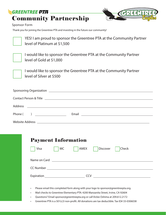#### **GREENTREE PTA** Community Partnership



#### Sponsor Form

Thank you for joining the Greentree PTA and investing in the future our community!



YES! I am proud to sponsor the Greentree PTA at the Community Partner level of Platinum at \$1,500



I would like to sponsor the Greentree PTA at the Community Partner level of Gold at \$1,000



I would like to sponsor the Greentree PTA at the Community Partner level of Silver at \$500

|  | Phone ( ) | Email <u>_________________________________</u> |  |  |  |  |
|--|-----------|------------------------------------------------|--|--|--|--|
|  |           |                                                |  |  |  |  |

| <b>Payment Information</b> |    |                        |          |                                                                                           |  |  |  |
|----------------------------|----|------------------------|----------|-------------------------------------------------------------------------------------------|--|--|--|
| Visa                       | MC | AMEX  <br>$\mathbf{L}$ | Discover | <b>Check</b><br>$\mathbf{L}$                                                              |  |  |  |
|                            |    |                        |          |                                                                                           |  |  |  |
|                            |    |                        |          |                                                                                           |  |  |  |
|                            |    | <b>CCV</b>             |          | the control of the control of the control of the control of the control of the control of |  |  |  |
|                            |    |                        |          |                                                                                           |  |  |  |

- Please email this completed form along with your logo to sponsor@greentreepta.org.
- Mail checks to Greentree Elementary PTA: 4200 Manzanita Street, Irvine, CA 92604
- Questions? Email sponsor@greentreepta.org or call Vickie Oshima at 209.612.2172
- Greentree PTA is a 501(c)3 non-profit. All donations are tax deductible. Tax ID# 33-0306038